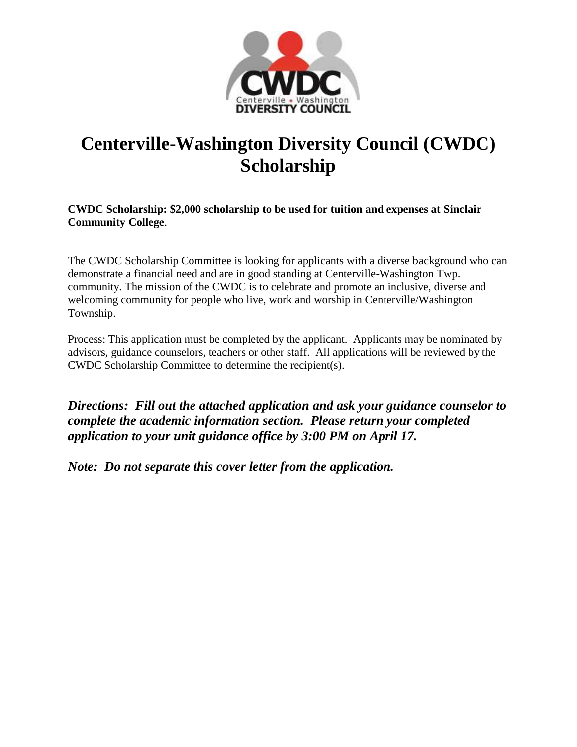

# **Centerville-Washington Diversity Council (CWDC) Scholarship**

**CWDC Scholarship: \$2,000 scholarship to be used for tuition and expenses at Sinclair Community College**.

The CWDC Scholarship Committee is looking for applicants with a diverse background who can demonstrate a financial need and are in good standing at Centerville-Washington Twp. community. The mission of the CWDC is to celebrate and promote an inclusive, diverse and welcoming community for people who live, work and worship in Centerville/Washington Township.

Process: This application must be completed by the applicant. Applicants may be nominated by advisors, guidance counselors, teachers or other staff. All applications will be reviewed by the CWDC Scholarship Committee to determine the recipient(s).

*Directions: Fill out the attached application and ask your guidance counselor to complete the academic information section. Please return your completed application to your unit guidance office by 3:00 PM on April 17.*

*Note: Do not separate this cover letter from the application.*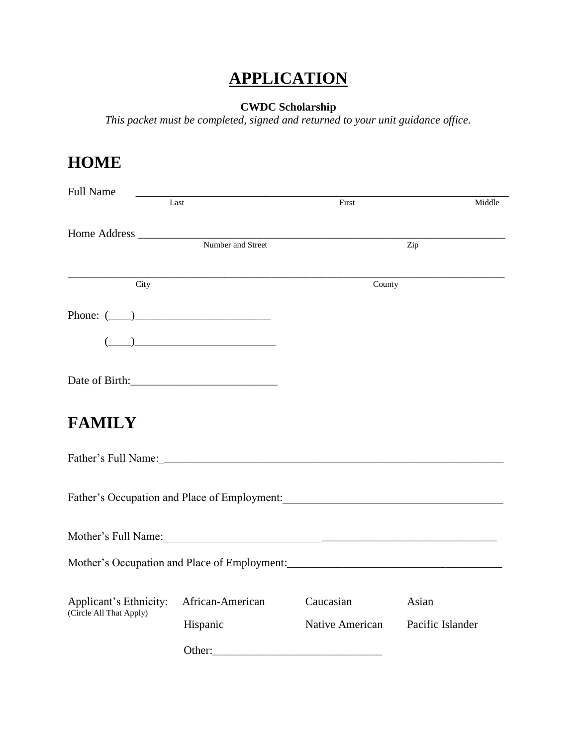## **APPLICATION**

#### **CWDC Scholarship**

*This packet must be completed, signed and returned to your unit guidance office.*

## **HOME**

| <b>Full Name</b>                                                                                       |                                                                                                                                                                                                                                                                                                                                                     |                                  |        |
|--------------------------------------------------------------------------------------------------------|-----------------------------------------------------------------------------------------------------------------------------------------------------------------------------------------------------------------------------------------------------------------------------------------------------------------------------------------------------|----------------------------------|--------|
|                                                                                                        | Last                                                                                                                                                                                                                                                                                                                                                | First                            | Middle |
|                                                                                                        |                                                                                                                                                                                                                                                                                                                                                     |                                  |        |
| Home Address $\frac{1}{\sqrt{1-\frac{1}{2}}\left(\frac{1}{2}-\frac{1}{2}\right)}$<br>Number and Street |                                                                                                                                                                                                                                                                                                                                                     |                                  | Zip    |
| $\overline{\mathrm{City}}$                                                                             |                                                                                                                                                                                                                                                                                                                                                     | County                           |        |
| Phone: $(\_\_)$                                                                                        |                                                                                                                                                                                                                                                                                                                                                     |                                  |        |
|                                                                                                        | $\begin{picture}(20,10) \put(0,0){\line(1,0){10}} \put(15,0){\line(1,0){10}} \put(15,0){\line(1,0){10}} \put(15,0){\line(1,0){10}} \put(15,0){\line(1,0){10}} \put(15,0){\line(1,0){10}} \put(15,0){\line(1,0){10}} \put(15,0){\line(1,0){10}} \put(15,0){\line(1,0){10}} \put(15,0){\line(1,0){10}} \put(15,0){\line(1,0){10}} \put(15,0){\line(1$ |                                  |        |
|                                                                                                        |                                                                                                                                                                                                                                                                                                                                                     |                                  |        |
| <b>FAMILY</b>                                                                                          |                                                                                                                                                                                                                                                                                                                                                     |                                  |        |
|                                                                                                        |                                                                                                                                                                                                                                                                                                                                                     |                                  |        |
|                                                                                                        | Father's Occupation and Place of Employment: Mathematical Contract of Employment:                                                                                                                                                                                                                                                                   |                                  |        |
|                                                                                                        |                                                                                                                                                                                                                                                                                                                                                     |                                  |        |
|                                                                                                        |                                                                                                                                                                                                                                                                                                                                                     |                                  |        |
| Applicant's Ethnicity:<br>(Circle All That Apply)                                                      | African-American                                                                                                                                                                                                                                                                                                                                    | Caucasian                        | Asian  |
|                                                                                                        | Hispanic                                                                                                                                                                                                                                                                                                                                            | Native American Pacific Islander |        |
|                                                                                                        |                                                                                                                                                                                                                                                                                                                                                     |                                  |        |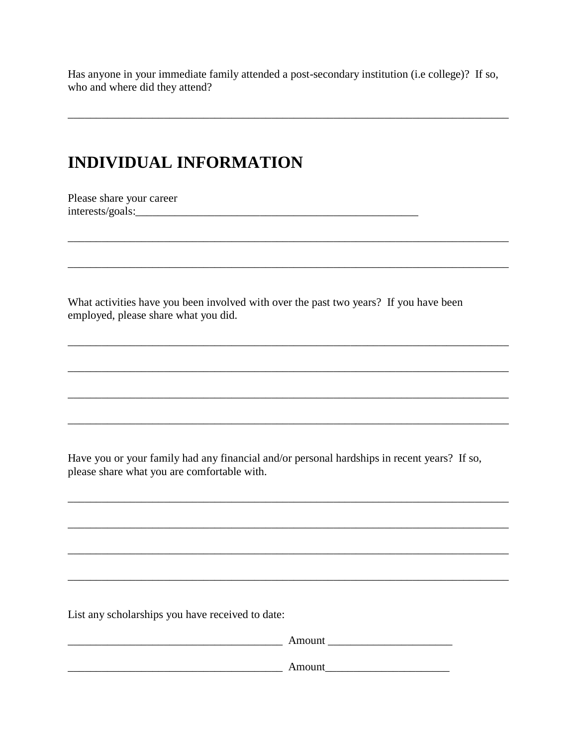Has anyone in your immediate family attended a post-secondary institution (i.e college)? If so, who and where did they attend?

### **INDIVIDUAL INFORMATION**

Please share your career 

What activities have you been involved with over the past two years? If you have been employed, please share what you did.

Have you or your family had any financial and/or personal hardships in recent years? If so, please share what you are comfortable with.

List any scholarships you have received to date:

| Amount |
|--------|
| Amount |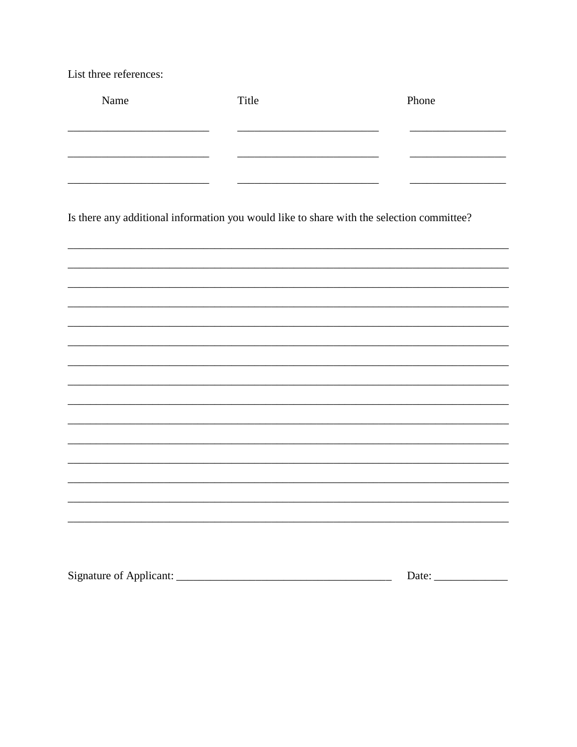List three references:

| Name | Title                                                                                     | Phone |
|------|-------------------------------------------------------------------------------------------|-------|
|      |                                                                                           |       |
|      |                                                                                           |       |
|      |                                                                                           |       |
|      |                                                                                           |       |
|      |                                                                                           |       |
|      | Is there any additional information you would like to share with the selection committee? |       |
|      |                                                                                           |       |
|      |                                                                                           |       |
|      |                                                                                           |       |
|      |                                                                                           |       |
|      |                                                                                           |       |

,我们也不会有什么。""我们的人,我们也不会有什么?""我们的人,我们也不会有什么?""我们的人,我们的人,我们也不会有什么?""我们的人,我们的人,我们的人,我

<u>and the state of the state of the state of the state of the state of the state of the state of the state of th</u>

| Signature of Applicant: |  |
|-------------------------|--|
|-------------------------|--|